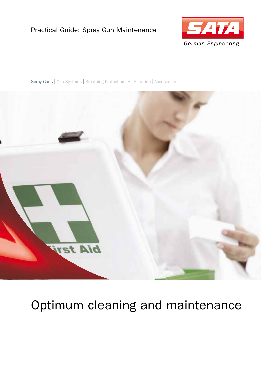#### Practical Guide: Spray Gun Maintenance



Spray Guns | Cup Systems | Breathing Protection | Air Filtration | Accessories



# Optimum cleaning and maintenance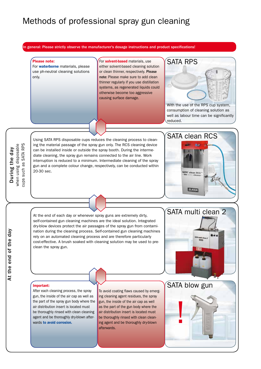### Methods of professional spray gun cleaning

In general: Please strictly observe the manufacturer's dosage instructions and product specifications!

Please note:

For **waterborne** materials, please use ph-neutral cleaning solutions only.

For **solvent-based** materials, use either solvent-based cleaning solution or clean thinner, respectively. Please note: Please make sure to add clean thinner regularly if you use distillation systems, as regenerated liquids could otherwise become too aggressive causing surface damage.



consumption of cleaning solution as well as labour time can be significantly reduced.

At the end of the day

Using SATA RPS disposable cups reduces the cleaning process to cleaning the material passage of the spray gun only. The RCS cleaning device can be installed inside or outside the spray booth. During the intermediate cleaning, the spray gun remains connected to the air line. Work interruption is reduced to a minimum. Intermediate cleaning of the spray gun and a complete colour change, respectively, can be conducted within 20-30 sec.



At the end of each day or whenever spray guns are extremely dirty, self-contained gun cleaning machines are the ideal solution. Integrated dry-blow devices protect the air passages of the spray gun from contamination during the cleaning process. Self-contained gun cleaning machines rely on an automated cleaning process and are therefore particularly cost-effective. A brush soaked with cleaning solution may be used to preclean the spray gun.



#### Important:

After each cleaning process, the spray gun, the inside of the air cap as well as the part of the spray gun body where the air distribution insert is located must be thoroughly rinsed with clean cleaning agent and be thoroughly dry-blown afterwards to avoid corrosion.

To avoid coating flaws caused by emerging cleaning agent residues, the spray gun, the inside of the air cap as well as the part of the gun body where the air distribution insert is located must be thoroughly rinsed with clean cleaning agent and be thoroughly dry-blown afterwards.

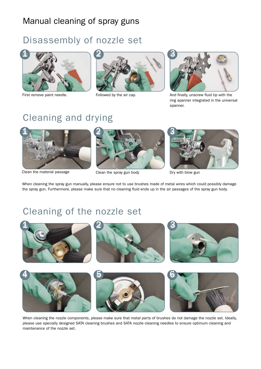### Manual cleaning of spray guns

## Disassembly of nozzle set







First remove paint needle. Followed by the air cap. The same and finally, unscrew fluid tip with the ring spanner integrated in the universal spanner.

# Cleaning and drying



Clean the material passage Clean the spray gun body Dry with blow gun



When cleaning the spray gun manually, please ensure not to use brushes made of metal wires which could possibly damage the spray gun. Furthermore, please make sure that no cleaning fluid ends up in the air passages of the spray gun body.

# Cleaning of the nozzle set



When cleaning the nozzle components, please make sure that metal parts of brushes do not damage the nozzle set. Ideally, please use specially designed SATA cleaning brushes and SATA nozzle cleaning needles to ensure optimum cleaning and maintenance of the nozzle set.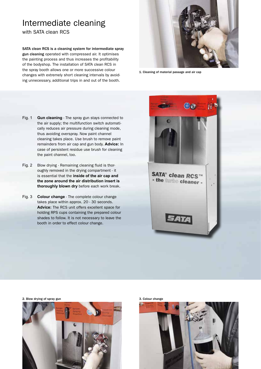### Intermediate cleaning

with SATA clean RCS

SATA clean RCS is a cleaning system for intermediate spray gun cleaning operated with compressed air. It optimises the painting process and thus increases the profitability of the bodyshop. The installation of SATA clean RCS in the spray booth allows one or more successive colour changes with extremely short cleaning intervals by avoiding unnecessary, additional trips in and out of the booth.



1. Cleaning of material passage and air cap

- Fig. 1 **Gun cleaning** The spray gun stays connected to the air supply; the multifunction switch automatically reduces air pressure during cleaning mode, thus avoiding overspray. Now paint channel cleaning takes place. Use brush to remove paint remainders from air cap and gun body. **Advice:** In case of persistent residue use brush for cleaning the paint channel, too.
- Fig. 2 Blow drying Remaining cleaning fluid is thoroughly removed in the drying compartment - it is essential that the **inside of the air cap and the zone around the air distribution insert is thoroughly blown dry** before each work break.
- Fig. 3 **Colour change** The complete colour change takes place within approx. 20 - 30 seconds. **Advice:** The RCS unit offers excellent space for holding RPS cups containing the prepared colour shades to follow. It is not necessary to leave the booth in order to effect colour change.



2. Blow drying of spray gun 3. Colour change





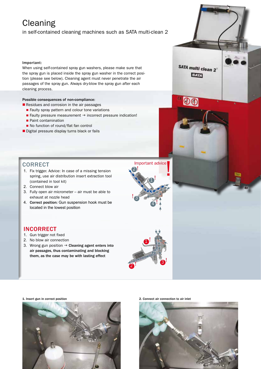## **Cleaning**

in self-contained cleaning machines such as SATA multi-clean 2

#### Important:

When using self-contained spray gun washers, please make sure that the spray gun is placed inside the spray gun washer in the correct position (please see below). Cleaning agent must never penetrate the air passages of the spray gun. Always dry-blow the spray gun after each cleaning process.

#### Possible consequences of non-compliance:

- Residues and corrosion in the air passages
	- Faulty spray pattern and colour tone variations
	- Faulty pressure measurement  $\rightarrow$  incorrect pressure indication!
	- **Paint contamination**
	- No function of round/flat fan control
- Digital pressure display turns black or fails



- 1. Fix trigger. Advice: In case of a missing tension spring, use air distribution insert extraction tool (contained in tool kit)
- 2. Connect blow air
- 3. Fully open air micrometer air must be able to exhaust at nozzle head
- 4. Correct position: Gun suspension hook must be located in the lowest position



#### INCORRECT

- 1. Gun trigger not fixed
- 2. No blow air connection
- 3. Wrong gun position  $\rightarrow$  Cleaning agent enters into air passages, thus contaminating and blocking them, as the case may be with lasting effect





1. Insert gun in correct position 2. Connect air connection to air inlet



SATA multi clean 2° **SATA** 

00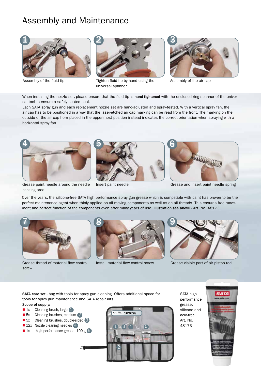### Assembly and Maintenance



Assembly of the fluid tip



Tighten fluid tip by hand using the

universal spanner.



Assembly of the air cap

When installing the nozzle set, please ensure that the fluid tip is hand-tightened with the enclosed ring spanner of the universal tool to ensure a safely seated seal.

Each SATA spray gun and each replacement nozzle set are hand-adjusted and spray-tested. With a vertical spray fan, the air cap has to be positioned in a way that the laser-etched air cap marking can be read from the front. The marking on the outside of the air cap horn placed in the upper-most position instead indicates the correct orientation when spraying with a horizontal spray fan.



packing area





Insert paint needle Grease and insert paint needle spring

Over the years, the silicone-free SATA high performance spray gun grease which is compatible with paint has proven to be the perfect maintenance agent when thinly applied on all moving components as well as on all threads. This ensures free movement and perfect function of the components even after many years of use. Illustration see above - Art. No. 48173



Grease thread of material flow control screw





Install material flow control screw Grease visible part of air piston rod

SATA care set - bag with tools for spray gun cleaning. Offers additional space for tools for spray gun maintenance and SATA repair kits. Scope of supply:

- $\blacksquare$  1x Cleaning brush, large  $\blacksquare$
- 5x Cleaning brushes, medium 2
- $\Box$  5x Cleaning brushes, double-sided  $\Box$
- **12x Nozzle cleaning needles** 4
- $\blacksquare$  1x high performance grease, 100 g  $\lceil 5 \rceil$



SATA high performance grease, silicone and acid-free Art. No. 48173

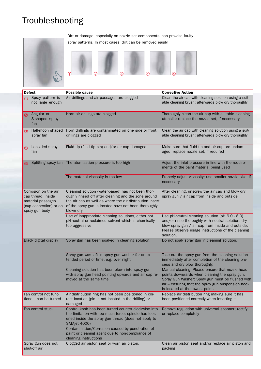# Troubleshooting



Dirt or damage, especially on nozzle set components, can provoke faulty spray patterns. In most cases, dirt can be removed easily.



| <b>Defect</b>                                                                                               | <b>Possible cause</b>                                                                                                                                                                                                                        | <b>Corrective Action</b>                                                                                                                                                                                                                     |
|-------------------------------------------------------------------------------------------------------------|----------------------------------------------------------------------------------------------------------------------------------------------------------------------------------------------------------------------------------------------|----------------------------------------------------------------------------------------------------------------------------------------------------------------------------------------------------------------------------------------------|
| Spray pattern is<br>⋒                                                                                       | Air drillings and air passages are clogged                                                                                                                                                                                                   | Clean the air cap with cleaning solution using a suit-                                                                                                                                                                                       |
| not large enough                                                                                            |                                                                                                                                                                                                                                              | able cleaning brush; afterwards blow dry thoroughly                                                                                                                                                                                          |
| Angular or<br>(2)<br>S-shaped spray<br>fan                                                                  | Horn air drillings are clogged                                                                                                                                                                                                               | Thoroughly clean the air cap with suitable cleaning<br>utensils; replace the nozzle set, if necessary                                                                                                                                        |
| Half-moon shaped<br>$\circled{3}$<br>spray fan                                                              | Horn drillings are contaminated on one side or front<br>drillings are clogged                                                                                                                                                                | Clean the air cap with cleaning solution using a suit-<br>able cleaning brush; afterwards blow dry thoroughly                                                                                                                                |
| Lopsided spray<br>$\circled{4}$<br>fan                                                                      | Fluid tip (fluid tip pin) and/or air cap damaged                                                                                                                                                                                             | Make sure that fluid tip and air cap are undam-<br>aged; replace nozzle set, if required                                                                                                                                                     |
| Splitting spray fan                                                                                         | The atomisation pressure is too high                                                                                                                                                                                                         | Adjust the inlet pressure in line with the require-<br>ments of the paint material being used                                                                                                                                                |
|                                                                                                             | The material viscosity is too low                                                                                                                                                                                                            | Properly adjust viscosity; use smaller nozzle size, if<br>necessary                                                                                                                                                                          |
| Corrosion on the air<br>cap thread, inside<br>material passages<br>(cup connection) or on<br>spray gun body | Cleaning solution (water-based) has not been thor-<br>oughly rinsed off after cleaning and the zone around<br>the air cap as well as where the air distribution insert<br>of the spray gun is located have not been thoroughly<br>blown dry. | After cleaning, unscrew the air cap and blow dry<br>spray gun / air cap from inside and outside                                                                                                                                              |
|                                                                                                             | Use of inappropriate cleaning solutions, either not<br>pH-neutral or reclaimed solvent which is chemically<br>too aggressive                                                                                                                 | Use pH-neutral cleaning solution (pH 6.0 - 8.0)<br>and/or rinse thoroughly with neutral solution, dry<br>blow spray gun / air cap from inside and outside.<br>Please observe usage instructions of the cleaning<br>solution.                 |
| Black digital display                                                                                       | Spray gun has been soaked in cleaning solution.                                                                                                                                                                                              | Do not soak spray gun in cleaning solution.                                                                                                                                                                                                  |
|                                                                                                             | Spray gun was left in spray gun washer for an ex-<br>tended period of time, e.g. over night                                                                                                                                                  | Take out the spray gun from the cleaning solution<br>immediately after completion of the cleaning pro-<br>cess and dry blow thoroughly.                                                                                                      |
|                                                                                                             | Cleaning solution has been blown into spray gun,<br>with spray gun head pointing upwards and air cap re-<br>moved at the same time                                                                                                           | Manual cleaning: Please ensure that nozzle head<br>points downwards when cleaning the spray gun.<br>Spray Gun Washer: Spray gun must be flushed with<br>air – ensuring that the spray gun suspension hook<br>is located at the lowest point. |
| Fan control not func-<br>tional - can be turned                                                             | Air distribution ring has not been positioned in cor-<br>rect location (pin is not located in the drilling) or<br>damaged                                                                                                                    | Replace air distribution ring making sure it has<br>been positioned correctly when inserting it                                                                                                                                              |
| Fan control stuck                                                                                           | Control knob has been turned counter clockwise into<br>the limitation with too much force; spindle has loos-<br>ened inside the spray gun thread (does not apply to<br>SATAjet 4000)                                                         | Remove regulation with universal spanner; rectify<br>or replace completely                                                                                                                                                                   |
|                                                                                                             | Contamination/Corrosion caused by penetration of<br>paint or cleaning agent due to non-compliance of<br>cleaning instructions                                                                                                                |                                                                                                                                                                                                                                              |
| Spray gun does not<br>shut-off air                                                                          | Clogged air piston seat or worn air piston.                                                                                                                                                                                                  | Clean air piston seat and/or replace air piston and<br>packing                                                                                                                                                                               |